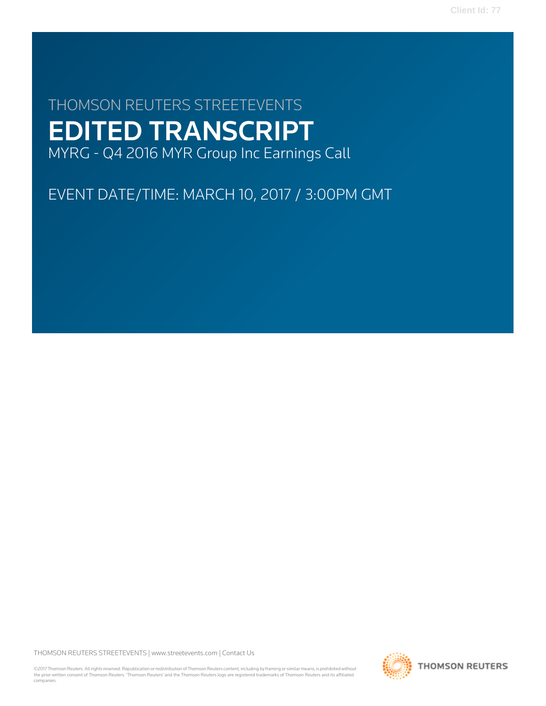# THOMSON REUTERS STREETEVENTS EDITED TRANSCRIPT MYRG - Q4 2016 MYR Group Inc Earnings Call

EVENT DATE/TIME: MARCH 10, 2017 / 3:00PM GMT

THOMSON REUTERS STREETEVENTS | [www.streetevents.com](http://www.streetevents.com) | [Contact Us](http://www010.streetevents.com/contact.asp)

©2017 Thomson Reuters. All rights reserved. Republication or redistribution of Thomson Reuters content, including by framing or similar means, is prohibited without the prior written consent of Thomson Reuters. 'Thomson Reuters' and the Thomson Reuters logo are registered trademarks of Thomson Reuters and its affiliated companies.

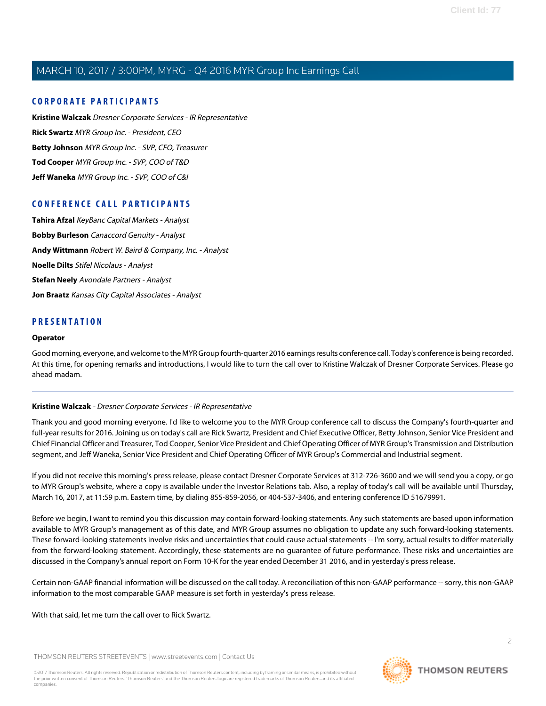### **CORPORATE PARTICIPANTS**

**[Kristine Walczak](#page-1-0)** Dresner Corporate Services - IR Representative **[Rick Swartz](#page-2-0)** MYR Group Inc. - President, CEO **[Betty Johnson](#page-2-1)** MYR Group Inc. - SVP, CFO, Treasurer **[Tod Cooper](#page-4-0)** MYR Group Inc. - SVP, COO of T&D **[Jeff Waneka](#page-6-0)** MYR Group Inc. - SVP, COO of C&I

### **CONFERENCE CALL PARTICIPANTS**

**[Tahira Afzal](#page-7-0)** KeyBanc Capital Markets - Analyst **[Bobby Burleson](#page-9-0)** Canaccord Genuity - Analyst **[Andy Wittmann](#page-10-0)** Robert W. Baird & Company, Inc. - Analyst **[Noelle Dilts](#page-13-0)** Stifel Nicolaus - Analyst **[Stefan Neely](#page-15-0)** Avondale Partners - Analyst **[Jon Braatz](#page-16-0)** Kansas City Capital Associates - Analyst

### **PRESENTATION**

#### **Operator**

<span id="page-1-0"></span>Good morning, everyone, and welcome to the MYR Group fourth-quarter 2016 earnings results conference call. Today's conference is being recorded. At this time, for opening remarks and introductions, I would like to turn the call over to Kristine Walczak of Dresner Corporate Services. Please go ahead madam.

#### **Kristine Walczak** - Dresner Corporate Services - IR Representative

Thank you and good morning everyone. I'd like to welcome you to the MYR Group conference call to discuss the Company's fourth-quarter and full-year results for 2016. Joining us on today's call are Rick Swartz, President and Chief Executive Officer, Betty Johnson, Senior Vice President and Chief Financial Officer and Treasurer, Tod Cooper, Senior Vice President and Chief Operating Officer of MYR Group's Transmission and Distribution segment, and Jeff Waneka, Senior Vice President and Chief Operating Officer of MYR Group's Commercial and Industrial segment.

If you did not receive this morning's press release, please contact Dresner Corporate Services at 312-726-3600 and we will send you a copy, or go to MYR Group's website, where a copy is available under the Investor Relations tab. Also, a replay of today's call will be available until Thursday, March 16, 2017, at 11:59 p.m. Eastern time, by dialing 855-859-2056, or 404-537-3406, and entering conference ID 51679991.

Before we begin, I want to remind you this discussion may contain forward-looking statements. Any such statements are based upon information available to MYR Group's management as of this date, and MYR Group assumes no obligation to update any such forward-looking statements. These forward-looking statements involve risks and uncertainties that could cause actual statements -- I'm sorry, actual results to differ materially from the forward-looking statement. Accordingly, these statements are no guarantee of future performance. These risks and uncertainties are discussed in the Company's annual report on Form 10-K for the year ended December 31 2016, and in yesterday's press release.

Certain non-GAAP financial information will be discussed on the call today. A reconciliation of this non-GAAP performance -- sorry, this non-GAAP information to the most comparable GAAP measure is set forth in yesterday's press release.

With that said, let me turn the call over to Rick Swartz.

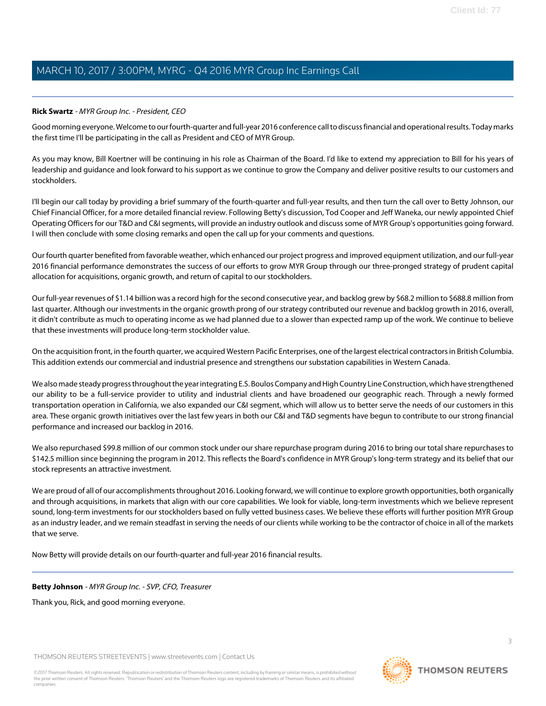### <span id="page-2-0"></span>**Rick Swartz** - MYR Group Inc. - President, CEO

Good morning everyone. Welcome to our fourth-quarter and full-year 2016 conference call to discuss financial and operational results. Today marks the first time I'll be participating in the call as President and CEO of MYR Group.

As you may know, Bill Koertner will be continuing in his role as Chairman of the Board. I'd like to extend my appreciation to Bill for his years of leadership and guidance and look forward to his support as we continue to grow the Company and deliver positive results to our customers and stockholders.

I'll begin our call today by providing a brief summary of the fourth-quarter and full-year results, and then turn the call over to Betty Johnson, our Chief Financial Officer, for a more detailed financial review. Following Betty's discussion, Tod Cooper and Jeff Waneka, our newly appointed Chief Operating Officers for our T&D and C&I segments, will provide an industry outlook and discuss some of MYR Group's opportunities going forward. I will then conclude with some closing remarks and open the call up for your comments and questions.

Our fourth quarter benefited from favorable weather, which enhanced our project progress and improved equipment utilization, and our full-year 2016 financial performance demonstrates the success of our efforts to grow MYR Group through our three-pronged strategy of prudent capital allocation for acquisitions, organic growth, and return of capital to our stockholders.

Our full-year revenues of \$1.14 billion was a record high for the second consecutive year, and backlog grew by \$68.2 million to \$688.8 million from last quarter. Although our investments in the organic growth prong of our strategy contributed our revenue and backlog growth in 2016, overall, it didn't contribute as much to operating income as we had planned due to a slower than expected ramp up of the work. We continue to believe that these investments will produce long-term stockholder value.

On the acquisition front, in the fourth quarter, we acquired Western Pacific Enterprises, one of the largest electrical contractors in British Columbia. This addition extends our commercial and industrial presence and strengthens our substation capabilities in Western Canada.

We also made steady progress throughout the year integrating E.S. Boulos Company and High Country Line Construction, which have strengthened our ability to be a full-service provider to utility and industrial clients and have broadened our geographic reach. Through a newly formed transportation operation in California, we also expanded our C&I segment, which will allow us to better serve the needs of our customers in this area. These organic growth initiatives over the last few years in both our C&I and T&D segments have begun to contribute to our strong financial performance and increased our backlog in 2016.

We also repurchased \$99.8 million of our common stock under our share repurchase program during 2016 to bring our total share repurchases to \$142.5 million since beginning the program in 2012. This reflects the Board's confidence in MYR Group's long-term strategy and its belief that our stock represents an attractive investment.

We are proud of all of our accomplishments throughout 2016. Looking forward, we will continue to explore growth opportunities, both organically and through acquisitions, in markets that align with our core capabilities. We look for viable, long-term investments which we believe represent sound, long-term investments for our stockholders based on fully vetted business cases. We believe these efforts will further position MYR Group as an industry leader, and we remain steadfast in serving the needs of our clients while working to be the contractor of choice in all of the markets that we serve.

<span id="page-2-1"></span>Now Betty will provide details on our fourth-quarter and full-year 2016 financial results.

#### **Betty Johnson** - MYR Group Inc. - SVP, CFO, Treasurer

Thank you, Rick, and good morning everyone.

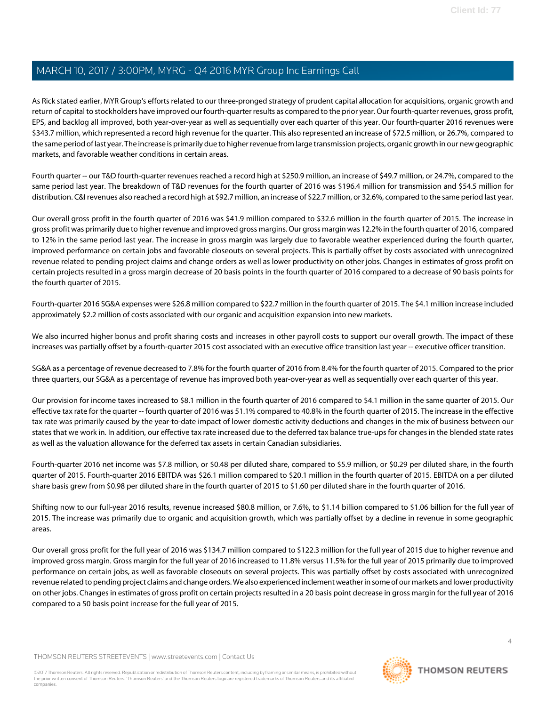As Rick stated earlier, MYR Group's efforts related to our three-pronged strategy of prudent capital allocation for acquisitions, organic growth and return of capital to stockholders have improved our fourth-quarter results as compared to the prior year. Our fourth-quarter revenues, gross profit, EPS, and backlog all improved, both year-over-year as well as sequentially over each quarter of this year. Our fourth-quarter 2016 revenues were \$343.7 million, which represented a record high revenue for the quarter. This also represented an increase of \$72.5 million, or 26.7%, compared to the same period of last year. The increase is primarily due to higher revenue from large transmission projects, organic growth in our new geographic markets, and favorable weather conditions in certain areas.

Fourth quarter -- our T&D fourth-quarter revenues reached a record high at \$250.9 million, an increase of \$49.7 million, or 24.7%, compared to the same period last year. The breakdown of T&D revenues for the fourth quarter of 2016 was \$196.4 million for transmission and \$54.5 million for distribution. C&I revenues also reached a record high at \$92.7 million, an increase of \$22.7 million, or 32.6%, compared to the same period last year.

Our overall gross profit in the fourth quarter of 2016 was \$41.9 million compared to \$32.6 million in the fourth quarter of 2015. The increase in gross profit was primarily due to higher revenue and improved gross margins. Our gross margin was 12.2% in the fourth quarter of 2016, compared to 12% in the same period last year. The increase in gross margin was largely due to favorable weather experienced during the fourth quarter, improved performance on certain jobs and favorable closeouts on several projects. This is partially offset by costs associated with unrecognized revenue related to pending project claims and change orders as well as lower productivity on other jobs. Changes in estimates of gross profit on certain projects resulted in a gross margin decrease of 20 basis points in the fourth quarter of 2016 compared to a decrease of 90 basis points for the fourth quarter of 2015.

Fourth-quarter 2016 SG&A expenses were \$26.8 million compared to \$22.7 million in the fourth quarter of 2015. The \$4.1 million increase included approximately \$2.2 million of costs associated with our organic and acquisition expansion into new markets.

We also incurred higher bonus and profit sharing costs and increases in other payroll costs to support our overall growth. The impact of these increases was partially offset by a fourth-quarter 2015 cost associated with an executive office transition last year -- executive officer transition.

SG&A as a percentage of revenue decreased to 7.8% for the fourth quarter of 2016 from 8.4% for the fourth quarter of 2015. Compared to the prior three quarters, our SG&A as a percentage of revenue has improved both year-over-year as well as sequentially over each quarter of this year.

Our provision for income taxes increased to \$8.1 million in the fourth quarter of 2016 compared to \$4.1 million in the same quarter of 2015. Our effective tax rate for the quarter -- fourth quarter of 2016 was 51.1% compared to 40.8% in the fourth quarter of 2015. The increase in the effective tax rate was primarily caused by the year-to-date impact of lower domestic activity deductions and changes in the mix of business between our states that we work in. In addition, our effective tax rate increased due to the deferred tax balance true-ups for changes in the blended state rates as well as the valuation allowance for the deferred tax assets in certain Canadian subsidiaries.

Fourth-quarter 2016 net income was \$7.8 million, or \$0.48 per diluted share, compared to \$5.9 million, or \$0.29 per diluted share, in the fourth quarter of 2015. Fourth-quarter 2016 EBITDA was \$26.1 million compared to \$20.1 million in the fourth quarter of 2015. EBITDA on a per diluted share basis grew from \$0.98 per diluted share in the fourth quarter of 2015 to \$1.60 per diluted share in the fourth quarter of 2016.

Shifting now to our full-year 2016 results, revenue increased \$80.8 million, or 7.6%, to \$1.14 billion compared to \$1.06 billion for the full year of 2015. The increase was primarily due to organic and acquisition growth, which was partially offset by a decline in revenue in some geographic areas.

Our overall gross profit for the full year of 2016 was \$134.7 million compared to \$122.3 million for the full year of 2015 due to higher revenue and improved gross margin. Gross margin for the full year of 2016 increased to 11.8% versus 11.5% for the full year of 2015 primarily due to improved performance on certain jobs, as well as favorable closeouts on several projects. This was partially offset by costs associated with unrecognized revenue related to pending project claims and change orders. We also experienced inclement weather in some of our markets and lower productivity on other jobs. Changes in estimates of gross profit on certain projects resulted in a 20 basis point decrease in gross margin for the full year of 2016 compared to a 50 basis point increase for the full year of 2015.

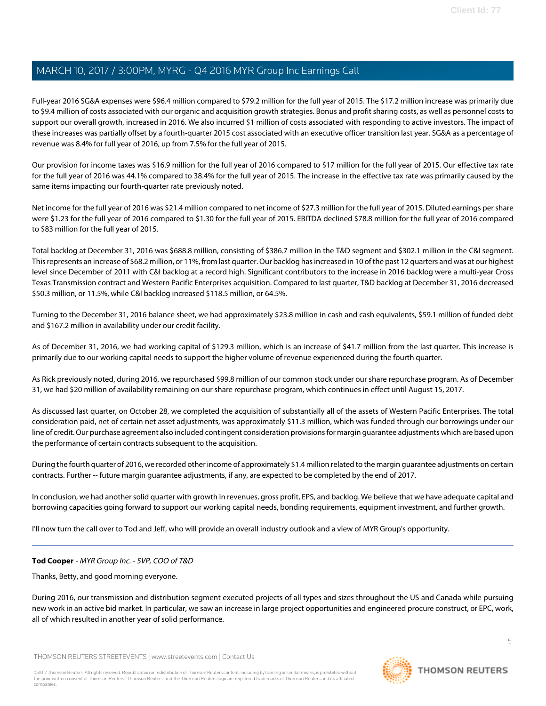Full-year 2016 SG&A expenses were \$96.4 million compared to \$79.2 million for the full year of 2015. The \$17.2 million increase was primarily due to \$9.4 million of costs associated with our organic and acquisition growth strategies. Bonus and profit sharing costs, as well as personnel costs to support our overall growth, increased in 2016. We also incurred \$1 million of costs associated with responding to active investors. The impact of these increases was partially offset by a fourth-quarter 2015 cost associated with an executive officer transition last year. SG&A as a percentage of revenue was 8.4% for full year of 2016, up from 7.5% for the full year of 2015.

Our provision for income taxes was \$16.9 million for the full year of 2016 compared to \$17 million for the full year of 2015. Our effective tax rate for the full year of 2016 was 44.1% compared to 38.4% for the full year of 2015. The increase in the effective tax rate was primarily caused by the same items impacting our fourth-quarter rate previously noted.

Net income for the full year of 2016 was \$21.4 million compared to net income of \$27.3 million for the full year of 2015. Diluted earnings per share were \$1.23 for the full year of 2016 compared to \$1.30 for the full year of 2015. EBITDA declined \$78.8 million for the full year of 2016 compared to \$83 million for the full year of 2015.

Total backlog at December 31, 2016 was \$688.8 million, consisting of \$386.7 million in the T&D segment and \$302.1 million in the C&I segment. This represents an increase of \$68.2 million, or 11%, from last quarter. Our backlog has increased in 10 of the past 12 quarters and was at our highest level since December of 2011 with C&I backlog at a record high. Significant contributors to the increase in 2016 backlog were a multi-year Cross Texas Transmission contract and Western Pacific Enterprises acquisition. Compared to last quarter, T&D backlog at December 31, 2016 decreased \$50.3 million, or 11.5%, while C&I backlog increased \$118.5 million, or 64.5%.

Turning to the December 31, 2016 balance sheet, we had approximately \$23.8 million in cash and cash equivalents, \$59.1 million of funded debt and \$167.2 million in availability under our credit facility.

As of December 31, 2016, we had working capital of \$129.3 million, which is an increase of \$41.7 million from the last quarter. This increase is primarily due to our working capital needs to support the higher volume of revenue experienced during the fourth quarter.

As Rick previously noted, during 2016, we repurchased \$99.8 million of our common stock under our share repurchase program. As of December 31, we had \$20 million of availability remaining on our share repurchase program, which continues in effect until August 15, 2017.

As discussed last quarter, on October 28, we completed the acquisition of substantially all of the assets of Western Pacific Enterprises. The total consideration paid, net of certain net asset adjustments, was approximately \$11.3 million, which was funded through our borrowings under our line of credit. Our purchase agreement also included contingent consideration provisions for margin guarantee adjustments which are based upon the performance of certain contracts subsequent to the acquisition.

During the fourth quarter of 2016, we recorded other income of approximately \$1.4 million related to the margin guarantee adjustments on certain contracts. Further -- future margin guarantee adjustments, if any, are expected to be completed by the end of 2017.

<span id="page-4-0"></span>In conclusion, we had another solid quarter with growth in revenues, gross profit, EPS, and backlog. We believe that we have adequate capital and borrowing capacities going forward to support our working capital needs, bonding requirements, equipment investment, and further growth.

I'll now turn the call over to Tod and Jeff, who will provide an overall industry outlook and a view of MYR Group's opportunity.

#### **Tod Cooper** - MYR Group Inc. - SVP, COO of T&D

Thanks, Betty, and good morning everyone.

During 2016, our transmission and distribution segment executed projects of all types and sizes throughout the US and Canada while pursuing new work in an active bid market. In particular, we saw an increase in large project opportunities and engineered procure construct, or EPC, work, all of which resulted in another year of solid performance.

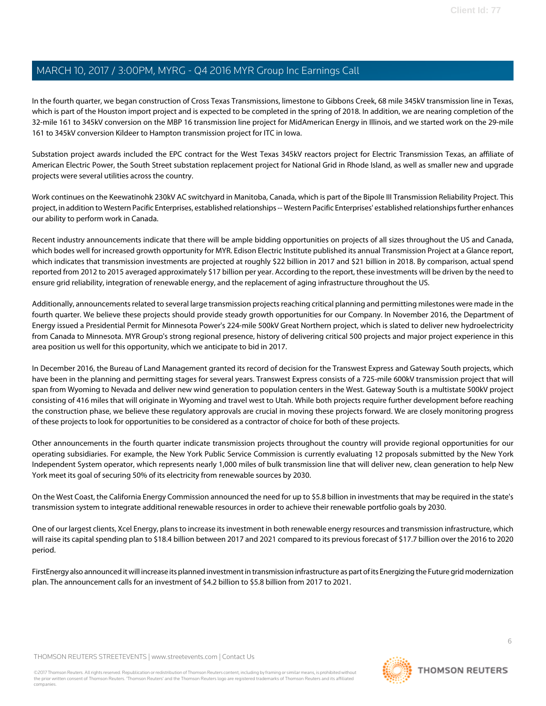In the fourth quarter, we began construction of Cross Texas Transmissions, limestone to Gibbons Creek, 68 mile 345kV transmission line in Texas, which is part of the Houston import project and is expected to be completed in the spring of 2018. In addition, we are nearing completion of the 32-mile 161 to 345kV conversion on the MBP 16 transmission line project for MidAmerican Energy in Illinois, and we started work on the 29-mile 161 to 345kV conversion Kildeer to Hampton transmission project for ITC in Iowa.

Substation project awards included the EPC contract for the West Texas 345kV reactors project for Electric Transmission Texas, an affiliate of American Electric Power, the South Street substation replacement project for National Grid in Rhode Island, as well as smaller new and upgrade projects were several utilities across the country.

Work continues on the Keewatinohk 230kV AC switchyard in Manitoba, Canada, which is part of the Bipole III Transmission Reliability Project. This project, in addition to Western Pacific Enterprises, established relationships -- Western Pacific Enterprises' established relationships further enhances our ability to perform work in Canada.

Recent industry announcements indicate that there will be ample bidding opportunities on projects of all sizes throughout the US and Canada, which bodes well for increased growth opportunity for MYR. Edison Electric Institute published its annual Transmission Project at a Glance report, which indicates that transmission investments are projected at roughly \$22 billion in 2017 and \$21 billion in 2018. By comparison, actual spend reported from 2012 to 2015 averaged approximately \$17 billion per year. According to the report, these investments will be driven by the need to ensure grid reliability, integration of renewable energy, and the replacement of aging infrastructure throughout the US.

Additionally, announcements related to several large transmission projects reaching critical planning and permitting milestones were made in the fourth quarter. We believe these projects should provide steady growth opportunities for our Company. In November 2016, the Department of Energy issued a Presidential Permit for Minnesota Power's 224-mile 500kV Great Northern project, which is slated to deliver new hydroelectricity from Canada to Minnesota. MYR Group's strong regional presence, history of delivering critical 500 projects and major project experience in this area position us well for this opportunity, which we anticipate to bid in 2017.

In December 2016, the Bureau of Land Management granted its record of decision for the Transwest Express and Gateway South projects, which have been in the planning and permitting stages for several years. Transwest Express consists of a 725-mile 600kV transmission project that will span from Wyoming to Nevada and deliver new wind generation to population centers in the West. Gateway South is a multistate 500kV project consisting of 416 miles that will originate in Wyoming and travel west to Utah. While both projects require further development before reaching the construction phase, we believe these regulatory approvals are crucial in moving these projects forward. We are closely monitoring progress of these projects to look for opportunities to be considered as a contractor of choice for both of these projects.

Other announcements in the fourth quarter indicate transmission projects throughout the country will provide regional opportunities for our operating subsidiaries. For example, the New York Public Service Commission is currently evaluating 12 proposals submitted by the New York Independent System operator, which represents nearly 1,000 miles of bulk transmission line that will deliver new, clean generation to help New York meet its goal of securing 50% of its electricity from renewable sources by 2030.

On the West Coast, the California Energy Commission announced the need for up to \$5.8 billion in investments that may be required in the state's transmission system to integrate additional renewable resources in order to achieve their renewable portfolio goals by 2030.

One of our largest clients, Xcel Energy, plans to increase its investment in both renewable energy resources and transmission infrastructure, which will raise its capital spending plan to \$18.4 billion between 2017 and 2021 compared to its previous forecast of \$17.7 billion over the 2016 to 2020 period.

FirstEnergy also announced it will increase its planned investment in transmission infrastructure as part of its Energizing the Future grid modernization plan. The announcement calls for an investment of \$4.2 billion to \$5.8 billion from 2017 to 2021.

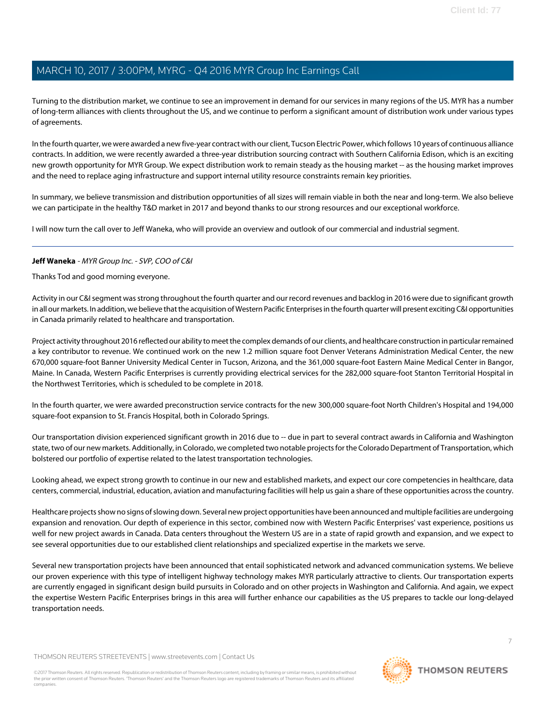Turning to the distribution market, we continue to see an improvement in demand for our services in many regions of the US. MYR has a number of long-term alliances with clients throughout the US, and we continue to perform a significant amount of distribution work under various types of agreements.

In the fourth quarter, we were awarded a new five-year contract with our client, Tucson Electric Power, which follows 10 years of continuous alliance contracts. In addition, we were recently awarded a three-year distribution sourcing contract with Southern California Edison, which is an exciting new growth opportunity for MYR Group. We expect distribution work to remain steady as the housing market -- as the housing market improves and the need to replace aging infrastructure and support internal utility resource constraints remain key priorities.

In summary, we believe transmission and distribution opportunities of all sizes will remain viable in both the near and long-term. We also believe we can participate in the healthy T&D market in 2017 and beyond thanks to our strong resources and our exceptional workforce.

<span id="page-6-0"></span>I will now turn the call over to Jeff Waneka, who will provide an overview and outlook of our commercial and industrial segment.

### **Jeff Waneka** - MYR Group Inc. - SVP, COO of C&I

Thanks Tod and good morning everyone.

Activity in our C&I segment was strong throughout the fourth quarter and our record revenues and backlog in 2016 were due to significant growth in all our markets. In addition, we believe that the acquisition of Western Pacific Enterprises in the fourth quarter will present exciting C&I opportunities in Canada primarily related to healthcare and transportation.

Project activity throughout 2016 reflected our ability to meet the complex demands of our clients, and healthcare construction in particular remained a key contributor to revenue. We continued work on the new 1.2 million square foot Denver Veterans Administration Medical Center, the new 670,000 square-foot Banner University Medical Center in Tucson, Arizona, and the 361,000 square-foot Eastern Maine Medical Center in Bangor, Maine. In Canada, Western Pacific Enterprises is currently providing electrical services for the 282,000 square-foot Stanton Territorial Hospital in the Northwest Territories, which is scheduled to be complete in 2018.

In the fourth quarter, we were awarded preconstruction service contracts for the new 300,000 square-foot North Children's Hospital and 194,000 square-foot expansion to St. Francis Hospital, both in Colorado Springs.

Our transportation division experienced significant growth in 2016 due to -- due in part to several contract awards in California and Washington state, two of our new markets. Additionally, in Colorado, we completed two notable projects for the Colorado Department of Transportation, which bolstered our portfolio of expertise related to the latest transportation technologies.

Looking ahead, we expect strong growth to continue in our new and established markets, and expect our core competencies in healthcare, data centers, commercial, industrial, education, aviation and manufacturing facilities will help us gain a share of these opportunities across the country.

Healthcare projects show no signs of slowing down. Several new project opportunities have been announced and multiple facilities are undergoing expansion and renovation. Our depth of experience in this sector, combined now with Western Pacific Enterprises' vast experience, positions us well for new project awards in Canada. Data centers throughout the Western US are in a state of rapid growth and expansion, and we expect to see several opportunities due to our established client relationships and specialized expertise in the markets we serve.

Several new transportation projects have been announced that entail sophisticated network and advanced communication systems. We believe our proven experience with this type of intelligent highway technology makes MYR particularly attractive to clients. Our transportation experts are currently engaged in significant design build pursuits in Colorado and on other projects in Washington and California. And again, we expect the expertise Western Pacific Enterprises brings in this area will further enhance our capabilities as the US prepares to tackle our long-delayed transportation needs.

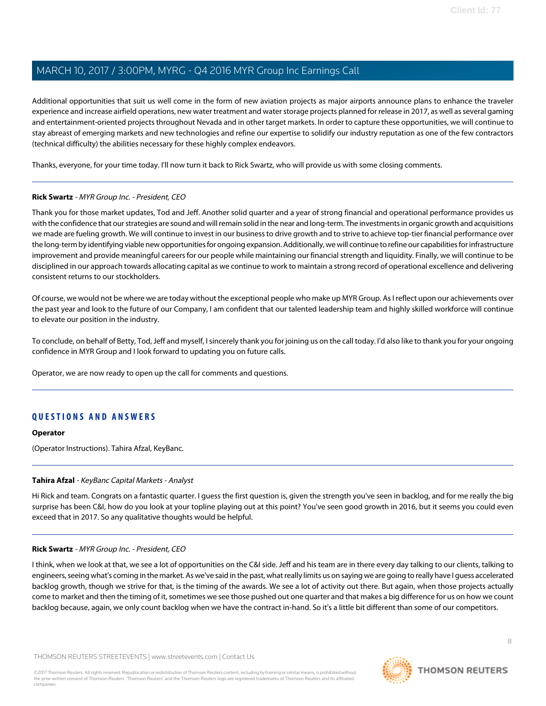Additional opportunities that suit us well come in the form of new aviation projects as major airports announce plans to enhance the traveler experience and increase airfield operations, new water treatment and water storage projects planned for release in 2017, as well as several gaming and entertainment-oriented projects throughout Nevada and in other target markets. In order to capture these opportunities, we will continue to stay abreast of emerging markets and new technologies and refine our expertise to solidify our industry reputation as one of the few contractors (technical difficulty) the abilities necessary for these highly complex endeavors.

Thanks, everyone, for your time today. I'll now turn it back to Rick Swartz, who will provide us with some closing comments.

### **Rick Swartz** - MYR Group Inc. - President, CEO

Thank you for those market updates, Tod and Jeff. Another solid quarter and a year of strong financial and operational performance provides us with the confidence that our strategies are sound and will remain solid in the near and long-term. The investments in organic growth and acquisitions we made are fueling growth. We will continue to invest in our business to drive growth and to strive to achieve top-tier financial performance over the long-term by identifying viable new opportunities for ongoing expansion. Additionally, we will continue to refine our capabilities for infrastructure improvement and provide meaningful careers for our people while maintaining our financial strength and liquidity. Finally, we will continue to be disciplined in our approach towards allocating capital as we continue to work to maintain a strong record of operational excellence and delivering consistent returns to our stockholders.

Of course, we would not be where we are today without the exceptional people who make up MYR Group. As I reflect upon our achievements over the past year and look to the future of our Company, I am confident that our talented leadership team and highly skilled workforce will continue to elevate our position in the industry.

To conclude, on behalf of Betty, Tod, Jeff and myself, I sincerely thank you for joining us on the call today. I'd also like to thank you for your ongoing confidence in MYR Group and I look forward to updating you on future calls.

Operator, we are now ready to open up the call for comments and questions.

### **QUESTIONS AND ANSWERS**

#### <span id="page-7-0"></span>**Operator**

(Operator Instructions). Tahira Afzal, KeyBanc.

#### **Tahira Afzal** - KeyBanc Capital Markets - Analyst

Hi Rick and team. Congrats on a fantastic quarter. I guess the first question is, given the strength you've seen in backlog, and for me really the big surprise has been C&I, how do you look at your topline playing out at this point? You've seen good growth in 2016, but it seems you could even exceed that in 2017. So any qualitative thoughts would be helpful.

#### **Rick Swartz** - MYR Group Inc. - President, CEO

I think, when we look at that, we see a lot of opportunities on the C&I side. Jeff and his team are in there every day talking to our clients, talking to engineers, seeing what's coming in the market. As we've said in the past, what really limits us on saying we are going to really have I guess accelerated backlog growth, though we strive for that, is the timing of the awards. We see a lot of activity out there. But again, when those projects actually come to market and then the timing of it, sometimes we see those pushed out one quarter and that makes a big difference for us on how we count backlog because, again, we only count backlog when we have the contract in-hand. So it's a little bit different than some of our competitors.

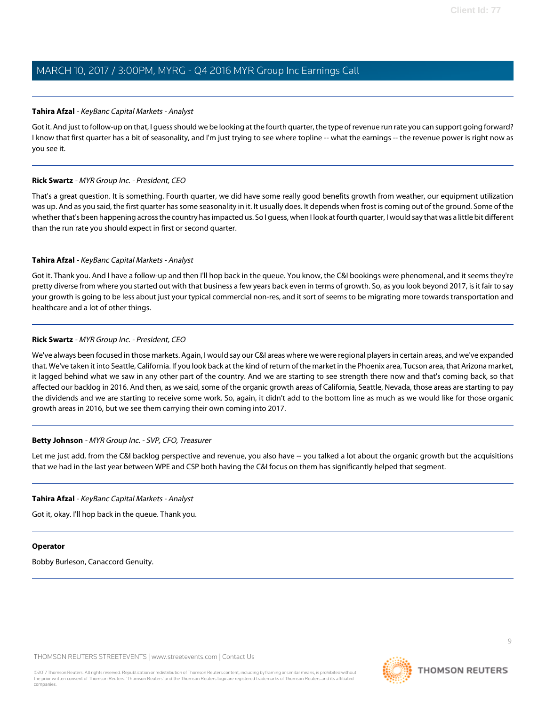#### **Tahira Afzal** - KeyBanc Capital Markets - Analyst

Got it. And just to follow-up on that, I quess should we be looking at the fourth quarter, the type of revenue run rate you can support going forward? I know that first quarter has a bit of seasonality, and I'm just trying to see where topline -- what the earnings -- the revenue power is right now as you see it.

### **Rick Swartz** - MYR Group Inc. - President, CEO

That's a great question. It is something. Fourth quarter, we did have some really good benefits growth from weather, our equipment utilization was up. And as you said, the first quarter has some seasonality in it. It usually does. It depends when frost is coming out of the ground. Some of the whether that's been happening across the country has impacted us. So I guess, when I look at fourth quarter, I would say that was a little bit different than the run rate you should expect in first or second quarter.

### **Tahira Afzal** - KeyBanc Capital Markets - Analyst

Got it. Thank you. And I have a follow-up and then I'll hop back in the queue. You know, the C&I bookings were phenomenal, and it seems they're pretty diverse from where you started out with that business a few years back even in terms of growth. So, as you look beyond 2017, is it fair to say your growth is going to be less about just your typical commercial non-res, and it sort of seems to be migrating more towards transportation and healthcare and a lot of other things.

### **Rick Swartz** - MYR Group Inc. - President, CEO

We've always been focused in those markets. Again, I would say our C&I areas where we were regional players in certain areas, and we've expanded that. We've taken it into Seattle, California. If you look back at the kind of return of the market in the Phoenix area, Tucson area, that Arizona market, it lagged behind what we saw in any other part of the country. And we are starting to see strength there now and that's coming back, so that affected our backlog in 2016. And then, as we said, some of the organic growth areas of California, Seattle, Nevada, those areas are starting to pay the dividends and we are starting to receive some work. So, again, it didn't add to the bottom line as much as we would like for those organic growth areas in 2016, but we see them carrying their own coming into 2017.

#### **Betty Johnson** - MYR Group Inc. - SVP, CFO, Treasurer

Let me just add, from the C&I backlog perspective and revenue, you also have -- you talked a lot about the organic growth but the acquisitions that we had in the last year between WPE and CSP both having the C&I focus on them has significantly helped that segment.

#### **Tahira Afzal** - KeyBanc Capital Markets - Analyst

Got it, okay. I'll hop back in the queue. Thank you.

#### **Operator**

Bobby Burleson, Canaccord Genuity.

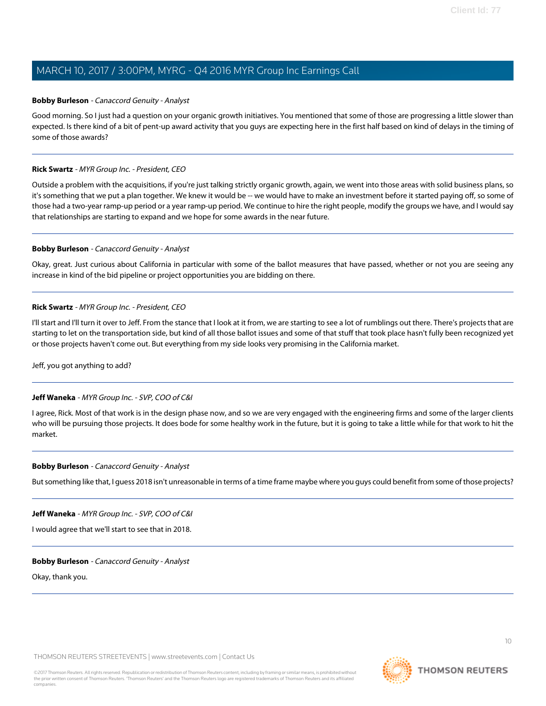#### <span id="page-9-0"></span>**Bobby Burleson** - Canaccord Genuity - Analyst

Good morning. So I just had a question on your organic growth initiatives. You mentioned that some of those are progressing a little slower than expected. Is there kind of a bit of pent-up award activity that you guys are expecting here in the first half based on kind of delays in the timing of some of those awards?

### **Rick Swartz** - MYR Group Inc. - President, CEO

Outside a problem with the acquisitions, if you're just talking strictly organic growth, again, we went into those areas with solid business plans, so it's something that we put a plan together. We knew it would be -- we would have to make an investment before it started paying off, so some of those had a two-year ramp-up period or a year ramp-up period. We continue to hire the right people, modify the groups we have, and I would say that relationships are starting to expand and we hope for some awards in the near future.

### **Bobby Burleson** - Canaccord Genuity - Analyst

Okay, great. Just curious about California in particular with some of the ballot measures that have passed, whether or not you are seeing any increase in kind of the bid pipeline or project opportunities you are bidding on there.

### **Rick Swartz** - MYR Group Inc. - President, CEO

I'll start and I'll turn it over to Jeff. From the stance that I look at it from, we are starting to see a lot of rumblings out there. There's projects that are starting to let on the transportation side, but kind of all those ballot issues and some of that stuff that took place hasn't fully been recognized yet or those projects haven't come out. But everything from my side looks very promising in the California market.

Jeff, you got anything to add?

### **Jeff Waneka** - MYR Group Inc. - SVP, COO of C&I

I agree, Rick. Most of that work is in the design phase now, and so we are very engaged with the engineering firms and some of the larger clients who will be pursuing those projects. It does bode for some healthy work in the future, but it is going to take a little while for that work to hit the market.

#### **Bobby Burleson** - Canaccord Genuity - Analyst

But something like that, I guess 2018 isn't unreasonable in terms of a time frame maybe where you guys could benefit from some of those projects?

#### **Jeff Waneka** - MYR Group Inc. - SVP, COO of C&I

I would agree that we'll start to see that in 2018.

#### **Bobby Burleson** - Canaccord Genuity - Analyst

Okay, thank you.

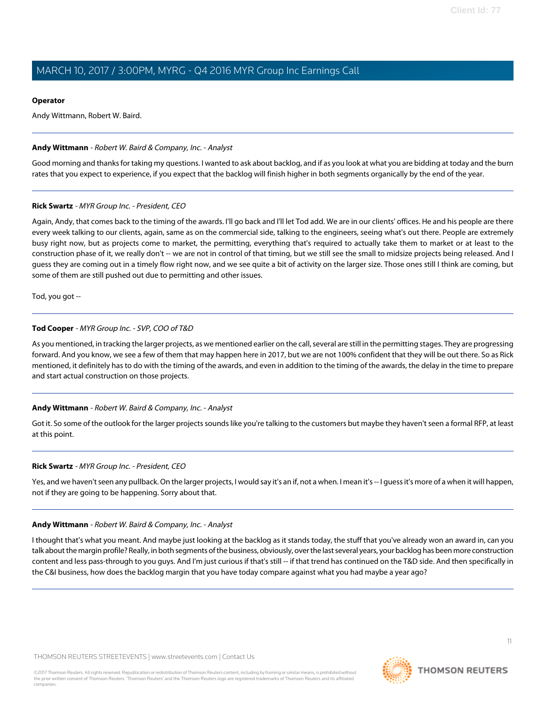#### **Operator**

Andy Wittmann, Robert W. Baird.

#### <span id="page-10-0"></span>**Andy Wittmann** - Robert W. Baird & Company, Inc. - Analyst

Good morning and thanks for taking my questions. I wanted to ask about backlog, and if as you look at what you are bidding at today and the burn rates that you expect to experience, if you expect that the backlog will finish higher in both segments organically by the end of the year.

#### **Rick Swartz** - MYR Group Inc. - President, CEO

Again, Andy, that comes back to the timing of the awards. I'll go back and I'll let Tod add. We are in our clients' offices. He and his people are there every week talking to our clients, again, same as on the commercial side, talking to the engineers, seeing what's out there. People are extremely busy right now, but as projects come to market, the permitting, everything that's required to actually take them to market or at least to the construction phase of it, we really don't -- we are not in control of that timing, but we still see the small to midsize projects being released. And I guess they are coming out in a timely flow right now, and we see quite a bit of activity on the larger size. Those ones still I think are coming, but some of them are still pushed out due to permitting and other issues.

Tod, you got --

### **Tod Cooper** - MYR Group Inc. - SVP, COO of T&D

As you mentioned, in tracking the larger projects, as we mentioned earlier on the call, several are still in the permitting stages. They are progressing forward. And you know, we see a few of them that may happen here in 2017, but we are not 100% confident that they will be out there. So as Rick mentioned, it definitely has to do with the timing of the awards, and even in addition to the timing of the awards, the delay in the time to prepare and start actual construction on those projects.

### **Andy Wittmann** - Robert W. Baird & Company, Inc. - Analyst

Got it. So some of the outlook for the larger projects sounds like you're talking to the customers but maybe they haven't seen a formal RFP, at least at this point.

#### **Rick Swartz** - MYR Group Inc. - President, CEO

Yes, and we haven't seen any pullback. On the larger projects, I would say it's an if, not a when. I mean it's -- I guess it's more of a when it will happen, not if they are going to be happening. Sorry about that.

#### **Andy Wittmann** - Robert W. Baird & Company, Inc. - Analyst

I thought that's what you meant. And maybe just looking at the backlog as it stands today, the stuff that you've already won an award in, can you talk about the margin profile? Really, in both segments of the business, obviously, over the last several years, your backlog has been more construction content and less pass-through to you guys. And I'm just curious if that's still -- if that trend has continued on the T&D side. And then specifically in the C&I business, how does the backlog margin that you have today compare against what you had maybe a year ago?

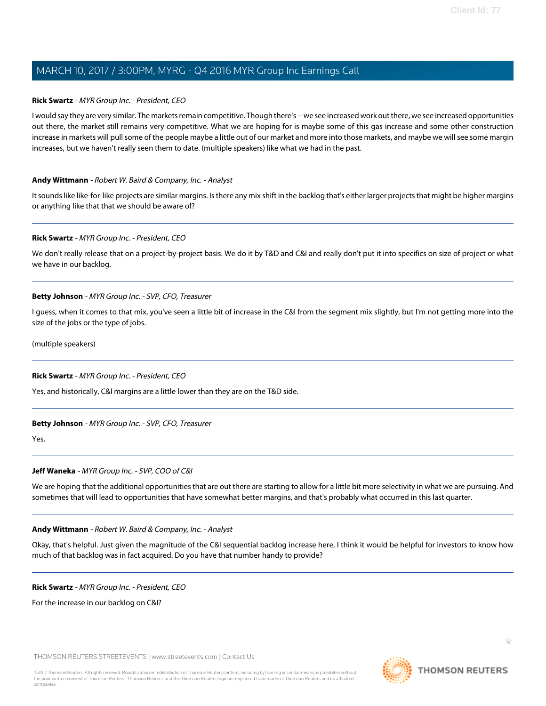### **Rick Swartz** - MYR Group Inc. - President, CEO

I would say they are very similar. The markets remain competitive. Though there's -- we see increased work out there, we see increased opportunities out there, the market still remains very competitive. What we are hoping for is maybe some of this gas increase and some other construction increase in markets will pull some of the people maybe a little out of our market and more into those markets, and maybe we will see some margin increases, but we haven't really seen them to date. (multiple speakers) like what we had in the past.

#### **Andy Wittmann** - Robert W. Baird & Company, Inc. - Analyst

It sounds like like-for-like projects are similar margins. Is there any mix shift in the backlog that's either larger projects that might be higher margins or anything like that that we should be aware of?

#### **Rick Swartz** - MYR Group Inc. - President, CEO

We don't really release that on a project-by-project basis. We do it by T&D and C&I and really don't put it into specifics on size of project or what we have in our backlog.

#### **Betty Johnson** - MYR Group Inc. - SVP, CFO, Treasurer

I guess, when it comes to that mix, you've seen a little bit of increase in the C&I from the segment mix slightly, but I'm not getting more into the size of the jobs or the type of jobs.

(multiple speakers)

#### **Rick Swartz** - MYR Group Inc. - President, CEO

Yes, and historically, C&I margins are a little lower than they are on the T&D side.

#### **Betty Johnson** - MYR Group Inc. - SVP, CFO, Treasurer

Yes.

#### **Jeff Waneka** - MYR Group Inc. - SVP, COO of C&I

We are hoping that the additional opportunities that are out there are starting to allow for a little bit more selectivity in what we are pursuing. And sometimes that will lead to opportunities that have somewhat better margins, and that's probably what occurred in this last quarter.

#### **Andy Wittmann** - Robert W. Baird & Company, Inc. - Analyst

Okay, that's helpful. Just given the magnitude of the C&I sequential backlog increase here, I think it would be helpful for investors to know how much of that backlog was in fact acquired. Do you have that number handy to provide?

#### **Rick Swartz** - MYR Group Inc. - President, CEO

For the increase in our backlog on C&I?

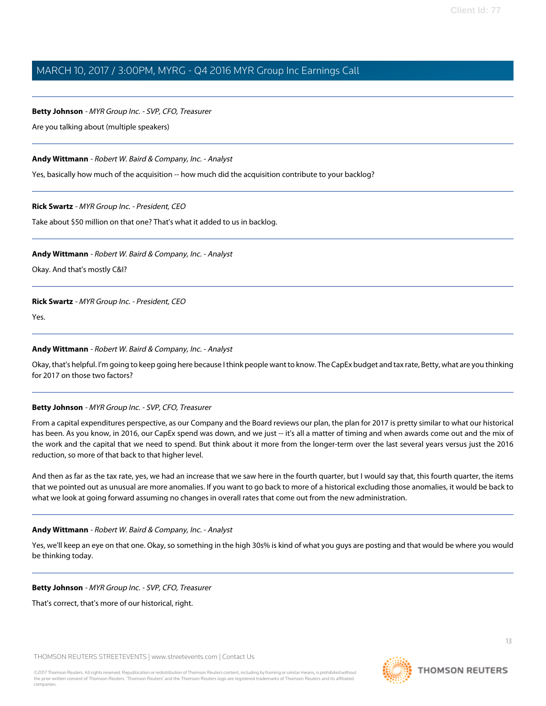#### **Betty Johnson** - MYR Group Inc. - SVP, CFO, Treasurer

Are you talking about (multiple speakers)

### **Andy Wittmann** - Robert W. Baird & Company, Inc. - Analyst

Yes, basically how much of the acquisition -- how much did the acquisition contribute to your backlog?

**Rick Swartz** - MYR Group Inc. - President, CEO

Take about \$50 million on that one? That's what it added to us in backlog.

#### **Andy Wittmann** - Robert W. Baird & Company, Inc. - Analyst

Okay. And that's mostly C&I?

#### **Rick Swartz** - MYR Group Inc. - President, CEO

Yes.

#### **Andy Wittmann** - Robert W. Baird & Company, Inc. - Analyst

Okay, that's helpful. I'm going to keep going here because I think people want to know. The CapEx budget and tax rate, Betty, what are you thinking for 2017 on those two factors?

#### **Betty Johnson** - MYR Group Inc. - SVP, CFO, Treasurer

From a capital expenditures perspective, as our Company and the Board reviews our plan, the plan for 2017 is pretty similar to what our historical has been. As you know, in 2016, our CapEx spend was down, and we just -- it's all a matter of timing and when awards come out and the mix of the work and the capital that we need to spend. But think about it more from the longer-term over the last several years versus just the 2016 reduction, so more of that back to that higher level.

And then as far as the tax rate, yes, we had an increase that we saw here in the fourth quarter, but I would say that, this fourth quarter, the items that we pointed out as unusual are more anomalies. If you want to go back to more of a historical excluding those anomalies, it would be back to what we look at going forward assuming no changes in overall rates that come out from the new administration.

#### **Andy Wittmann** - Robert W. Baird & Company, Inc. - Analyst

Yes, we'll keep an eye on that one. Okay, so something in the high 30s% is kind of what you guys are posting and that would be where you would be thinking today.

#### **Betty Johnson** - MYR Group Inc. - SVP, CFO, Treasurer

That's correct, that's more of our historical, right.

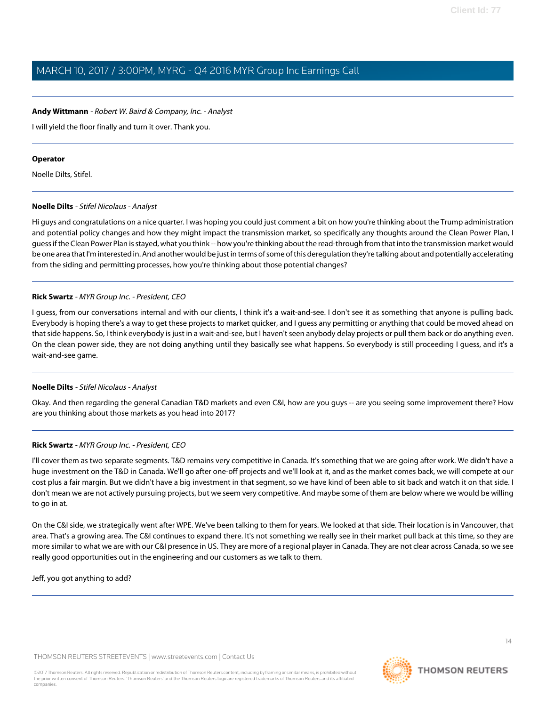#### **Andy Wittmann** - Robert W. Baird & Company, Inc. - Analyst

I will yield the floor finally and turn it over. Thank you.

#### **Operator**

<span id="page-13-0"></span>Noelle Dilts, Stifel.

#### **Noelle Dilts** - Stifel Nicolaus - Analyst

Hi guys and congratulations on a nice quarter. I was hoping you could just comment a bit on how you're thinking about the Trump administration and potential policy changes and how they might impact the transmission market, so specifically any thoughts around the Clean Power Plan, I guess if the Clean Power Plan is stayed, what you think -- how you're thinking about the read-through from that into the transmission market would be one area that I'm interested in. And another would be just in terms of some of this deregulation they're talking about and potentially accelerating from the siding and permitting processes, how you're thinking about those potential changes?

### **Rick Swartz** - MYR Group Inc. - President, CEO

I guess, from our conversations internal and with our clients, I think it's a wait-and-see. I don't see it as something that anyone is pulling back. Everybody is hoping there's a way to get these projects to market quicker, and I guess any permitting or anything that could be moved ahead on that side happens. So, I think everybody is just in a wait-and-see, but I haven't seen anybody delay projects or pull them back or do anything even. On the clean power side, they are not doing anything until they basically see what happens. So everybody is still proceeding I guess, and it's a wait-and-see game.

#### **Noelle Dilts** - Stifel Nicolaus - Analyst

Okay. And then regarding the general Canadian T&D markets and even C&I, how are you guys -- are you seeing some improvement there? How are you thinking about those markets as you head into 2017?

#### **Rick Swartz** - MYR Group Inc. - President, CEO

I'll cover them as two separate segments. T&D remains very competitive in Canada. It's something that we are going after work. We didn't have a huge investment on the T&D in Canada. We'll go after one-off projects and we'll look at it, and as the market comes back, we will compete at our cost plus a fair margin. But we didn't have a big investment in that segment, so we have kind of been able to sit back and watch it on that side. I don't mean we are not actively pursuing projects, but we seem very competitive. And maybe some of them are below where we would be willing to go in at.

On the C&I side, we strategically went after WPE. We've been talking to them for years. We looked at that side. Their location is in Vancouver, that area. That's a growing area. The C&I continues to expand there. It's not something we really see in their market pull back at this time, so they are more similar to what we are with our C&I presence in US. They are more of a regional player in Canada. They are not clear across Canada, so we see really good opportunities out in the engineering and our customers as we talk to them.

Jeff, you got anything to add?

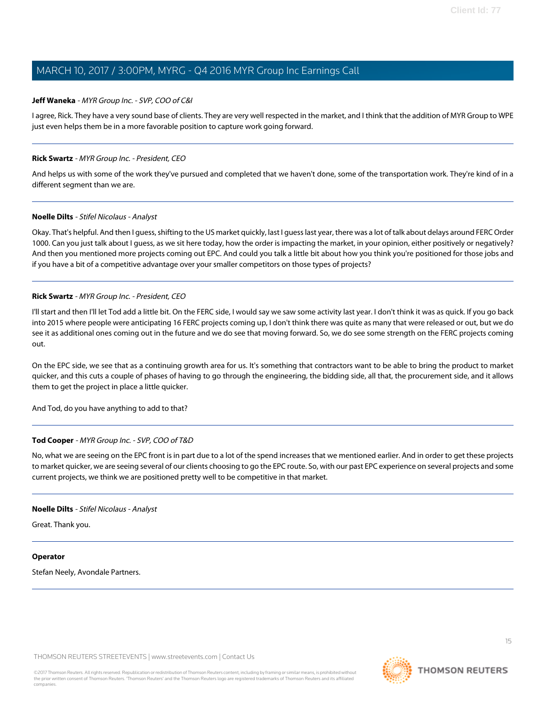### **Jeff Waneka** - MYR Group Inc. - SVP, COO of C&I

I agree, Rick. They have a very sound base of clients. They are very well respected in the market, and I think that the addition of MYR Group to WPE just even helps them be in a more favorable position to capture work going forward.

### **Rick Swartz** - MYR Group Inc. - President, CEO

And helps us with some of the work they've pursued and completed that we haven't done, some of the transportation work. They're kind of in a different segment than we are.

#### **Noelle Dilts** - Stifel Nicolaus - Analyst

Okay. That's helpful. And then I guess, shifting to the US market quickly, last I guess last year, there was a lot of talk about delays around FERC Order 1000. Can you just talk about I guess, as we sit here today, how the order is impacting the market, in your opinion, either positively or negatively? And then you mentioned more projects coming out EPC. And could you talk a little bit about how you think you're positioned for those jobs and if you have a bit of a competitive advantage over your smaller competitors on those types of projects?

#### **Rick Swartz** - MYR Group Inc. - President, CEO

I'll start and then I'll let Tod add a little bit. On the FERC side, I would say we saw some activity last year. I don't think it was as quick. If you go back into 2015 where people were anticipating 16 FERC projects coming up, I don't think there was quite as many that were released or out, but we do see it as additional ones coming out in the future and we do see that moving forward. So, we do see some strength on the FERC projects coming out.

On the EPC side, we see that as a continuing growth area for us. It's something that contractors want to be able to bring the product to market quicker, and this cuts a couple of phases of having to go through the engineering, the bidding side, all that, the procurement side, and it allows them to get the project in place a little quicker.

And Tod, do you have anything to add to that?

### **Tod Cooper** - MYR Group Inc. - SVP, COO of T&D

No, what we are seeing on the EPC front is in part due to a lot of the spend increases that we mentioned earlier. And in order to get these projects to market quicker, we are seeing several of our clients choosing to go the EPC route. So, with our past EPC experience on several projects and some current projects, we think we are positioned pretty well to be competitive in that market.

#### **Noelle Dilts** - Stifel Nicolaus - Analyst

Great. Thank you.

#### **Operator**

Stefan Neely, Avondale Partners.

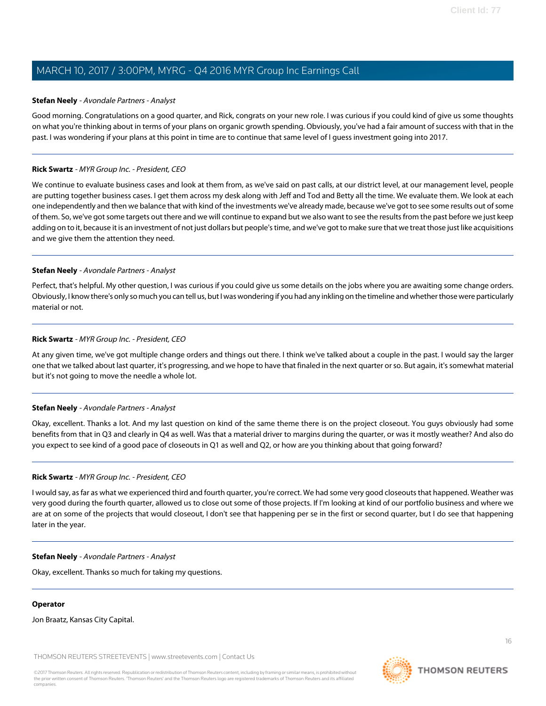### <span id="page-15-0"></span>**Stefan Neely** - Avondale Partners - Analyst

Good morning. Congratulations on a good quarter, and Rick, congrats on your new role. I was curious if you could kind of give us some thoughts on what you're thinking about in terms of your plans on organic growth spending. Obviously, you've had a fair amount of success with that in the past. I was wondering if your plans at this point in time are to continue that same level of I guess investment going into 2017.

### **Rick Swartz** - MYR Group Inc. - President, CEO

We continue to evaluate business cases and look at them from, as we've said on past calls, at our district level, at our management level, people are putting together business cases. I get them across my desk along with Jeff and Tod and Betty all the time. We evaluate them. We look at each one independently and then we balance that with kind of the investments we've already made, because we've got to see some results out of some of them. So, we've got some targets out there and we will continue to expand but we also want to see the results from the past before we just keep adding on to it, because it is an investment of not just dollars but people's time, and we've got to make sure that we treat those just like acquisitions and we give them the attention they need.

### **Stefan Neely** - Avondale Partners - Analyst

Perfect, that's helpful. My other question, I was curious if you could give us some details on the jobs where you are awaiting some change orders. Obviously, I know there's only so much you can tell us, but I was wondering if you had any inkling on the timeline and whether those were particularly material or not.

### **Rick Swartz** - MYR Group Inc. - President, CEO

At any given time, we've got multiple change orders and things out there. I think we've talked about a couple in the past. I would say the larger one that we talked about last quarter, it's progressing, and we hope to have that finaled in the next quarter or so. But again, it's somewhat material but it's not going to move the needle a whole lot.

#### **Stefan Neely** - Avondale Partners - Analyst

Okay, excellent. Thanks a lot. And my last question on kind of the same theme there is on the project closeout. You guys obviously had some benefits from that in Q3 and clearly in Q4 as well. Was that a material driver to margins during the quarter, or was it mostly weather? And also do you expect to see kind of a good pace of closeouts in Q1 as well and Q2, or how are you thinking about that going forward?

#### **Rick Swartz** - MYR Group Inc. - President, CEO

I would say, as far as what we experienced third and fourth quarter, you're correct. We had some very good closeouts that happened. Weather was very good during the fourth quarter, allowed us to close out some of those projects. If I'm looking at kind of our portfolio business and where we are at on some of the projects that would closeout, I don't see that happening per se in the first or second quarter, but I do see that happening later in the year.

#### **Stefan Neely** - Avondale Partners - Analyst

Okay, excellent. Thanks so much for taking my questions.

#### **Operator**

Jon Braatz, Kansas City Capital.

THOMSON REUTERS STREETEVENTS | [www.streetevents.com](http://www.streetevents.com) | [Contact Us](http://www010.streetevents.com/contact.asp)

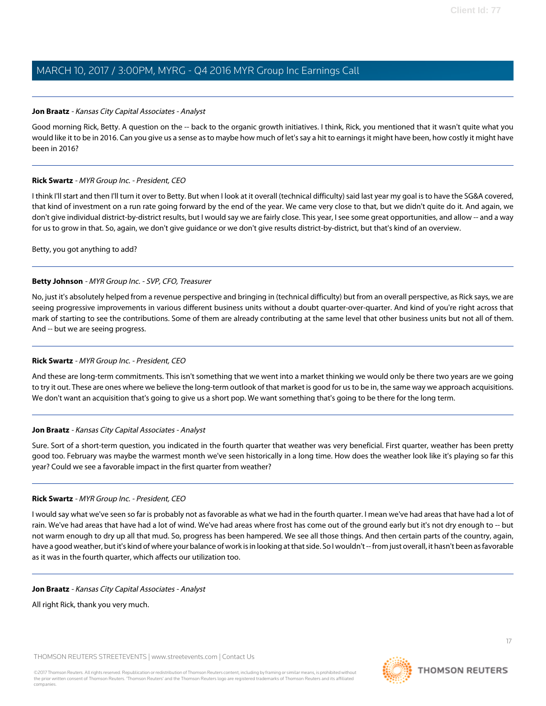#### <span id="page-16-0"></span>**Jon Braatz** - Kansas City Capital Associates - Analyst

Good morning Rick, Betty. A question on the -- back to the organic growth initiatives. I think, Rick, you mentioned that it wasn't quite what you would like it to be in 2016. Can you give us a sense as to maybe how much of let's say a hit to earnings it might have been, how costly it might have been in 2016?

### **Rick Swartz** - MYR Group Inc. - President, CEO

I think I'll start and then I'll turn it over to Betty. But when I look at it overall (technical difficulty) said last year my goal is to have the SG&A covered, that kind of investment on a run rate going forward by the end of the year. We came very close to that, but we didn't quite do it. And again, we don't give individual district-by-district results, but I would say we are fairly close. This year, I see some great opportunities, and allow -- and a way for us to grow in that. So, again, we don't give guidance or we don't give results district-by-district, but that's kind of an overview.

Betty, you got anything to add?

### **Betty Johnson** - MYR Group Inc. - SVP, CFO, Treasurer

No, just it's absolutely helped from a revenue perspective and bringing in (technical difficulty) but from an overall perspective, as Rick says, we are seeing progressive improvements in various different business units without a doubt quarter-over-quarter. And kind of you're right across that mark of starting to see the contributions. Some of them are already contributing at the same level that other business units but not all of them. And -- but we are seeing progress.

#### **Rick Swartz** - MYR Group Inc. - President, CEO

And these are long-term commitments. This isn't something that we went into a market thinking we would only be there two years are we going to try it out. These are ones where we believe the long-term outlook of that market is good for us to be in, the same way we approach acquisitions. We don't want an acquisition that's going to give us a short pop. We want something that's going to be there for the long term.

#### **Jon Braatz** - Kansas City Capital Associates - Analyst

Sure. Sort of a short-term question, you indicated in the fourth quarter that weather was very beneficial. First quarter, weather has been pretty good too. February was maybe the warmest month we've seen historically in a long time. How does the weather look like it's playing so far this year? Could we see a favorable impact in the first quarter from weather?

#### **Rick Swartz** - MYR Group Inc. - President, CEO

I would say what we've seen so far is probably not as favorable as what we had in the fourth quarter. I mean we've had areas that have had a lot of rain. We've had areas that have had a lot of wind. We've had areas where frost has come out of the ground early but it's not dry enough to -- but not warm enough to dry up all that mud. So, progress has been hampered. We see all those things. And then certain parts of the country, again, have a good weather, but it's kind of where your balance of work is in looking at that side. So I wouldn't -- from just overall, it hasn't been as favorable as it was in the fourth quarter, which affects our utilization too.

#### **Jon Braatz** - Kansas City Capital Associates - Analyst

All right Rick, thank you very much.

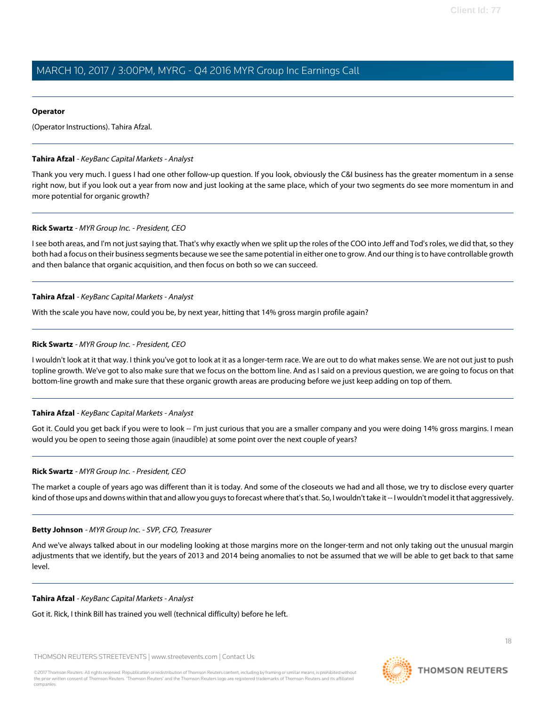#### **Operator**

(Operator Instructions). Tahira Afzal.

#### **Tahira Afzal** - KeyBanc Capital Markets - Analyst

Thank you very much. I guess I had one other follow-up question. If you look, obviously the C&I business has the greater momentum in a sense right now, but if you look out a year from now and just looking at the same place, which of your two segments do see more momentum in and more potential for organic growth?

#### **Rick Swartz** - MYR Group Inc. - President, CEO

I see both areas, and I'm not just saying that. That's why exactly when we split up the roles of the COO into Jeff and Tod's roles, we did that, so they both had a focus on their business segments because we see the same potential in either one to grow. And our thing is to have controllable growth and then balance that organic acquisition, and then focus on both so we can succeed.

#### **Tahira Afzal** - KeyBanc Capital Markets - Analyst

With the scale you have now, could you be, by next year, hitting that 14% gross margin profile again?

#### **Rick Swartz** - MYR Group Inc. - President, CEO

I wouldn't look at it that way. I think you've got to look at it as a longer-term race. We are out to do what makes sense. We are not out just to push topline growth. We've got to also make sure that we focus on the bottom line. And as I said on a previous question, we are going to focus on that bottom-line growth and make sure that these organic growth areas are producing before we just keep adding on top of them.

#### **Tahira Afzal** - KeyBanc Capital Markets - Analyst

Got it. Could you get back if you were to look -- I'm just curious that you are a smaller company and you were doing 14% gross margins. I mean would you be open to seeing those again (inaudible) at some point over the next couple of years?

#### **Rick Swartz** - MYR Group Inc. - President, CEO

The market a couple of years ago was different than it is today. And some of the closeouts we had and all those, we try to disclose every quarter kind of those ups and downs within that and allow you guys to forecast where that's that. So, I wouldn't take it -- I wouldn't model it that aggressively.

#### **Betty Johnson** - MYR Group Inc. - SVP, CFO, Treasurer

And we've always talked about in our modeling looking at those margins more on the longer-term and not only taking out the unusual margin adjustments that we identify, but the years of 2013 and 2014 being anomalies to not be assumed that we will be able to get back to that same level.

#### **Tahira Afzal** - KeyBanc Capital Markets - Analyst

Got it. Rick, I think Bill has trained you well (technical difficulty) before he left.

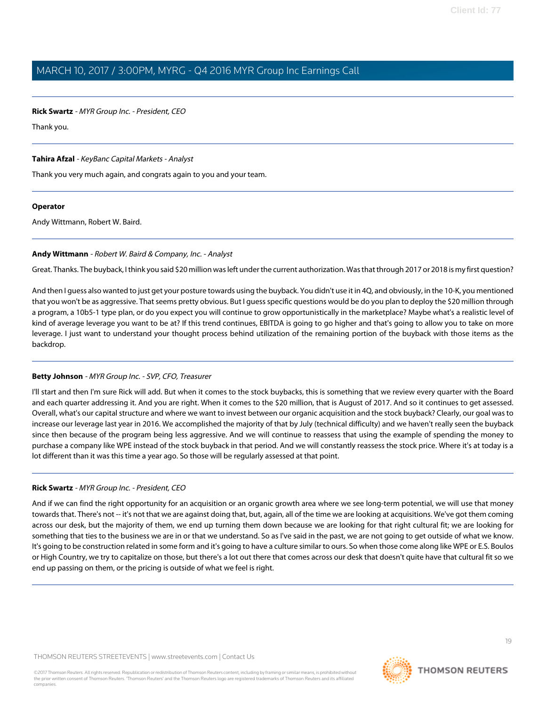#### **Rick Swartz** - MYR Group Inc. - President, CEO

Thank you.

### **Tahira Afzal** - KeyBanc Capital Markets - Analyst

Thank you very much again, and congrats again to you and your team.

#### **Operator**

Andy Wittmann, Robert W. Baird.

#### **Andy Wittmann** - Robert W. Baird & Company, Inc. - Analyst

Great. Thanks. The buyback, I think you said \$20 million was left under the current authorization. Was that through 2017 or 2018 is my first question?

And then I guess also wanted to just get your posture towards using the buyback. You didn't use it in 4Q, and obviously, in the 10-K, you mentioned that you won't be as aggressive. That seems pretty obvious. But I guess specific questions would be do you plan to deploy the \$20 million through a program, a 10b5-1 type plan, or do you expect you will continue to grow opportunistically in the marketplace? Maybe what's a realistic level of kind of average leverage you want to be at? If this trend continues, EBITDA is going to go higher and that's going to allow you to take on more leverage. I just want to understand your thought process behind utilization of the remaining portion of the buyback with those items as the backdrop.

### **Betty Johnson** - MYR Group Inc. - SVP, CFO, Treasurer

I'll start and then I'm sure Rick will add. But when it comes to the stock buybacks, this is something that we review every quarter with the Board and each quarter addressing it. And you are right. When it comes to the \$20 million, that is August of 2017. And so it continues to get assessed. Overall, what's our capital structure and where we want to invest between our organic acquisition and the stock buyback? Clearly, our goal was to increase our leverage last year in 2016. We accomplished the majority of that by July (technical difficulty) and we haven't really seen the buyback since then because of the program being less aggressive. And we will continue to reassess that using the example of spending the money to purchase a company like WPE instead of the stock buyback in that period. And we will constantly reassess the stock price. Where it's at today is a lot different than it was this time a year ago. So those will be regularly assessed at that point.

#### **Rick Swartz** - MYR Group Inc. - President, CEO

And if we can find the right opportunity for an acquisition or an organic growth area where we see long-term potential, we will use that money towards that. There's not -- it's not that we are against doing that, but, again, all of the time we are looking at acquisitions. We've got them coming across our desk, but the majority of them, we end up turning them down because we are looking for that right cultural fit; we are looking for something that ties to the business we are in or that we understand. So as I've said in the past, we are not going to get outside of what we know. It's going to be construction related in some form and it's going to have a culture similar to ours. So when those come along like WPE or E.S. Boulos or High Country, we try to capitalize on those, but there's a lot out there that comes across our desk that doesn't quite have that cultural fit so we end up passing on them, or the pricing is outside of what we feel is right.

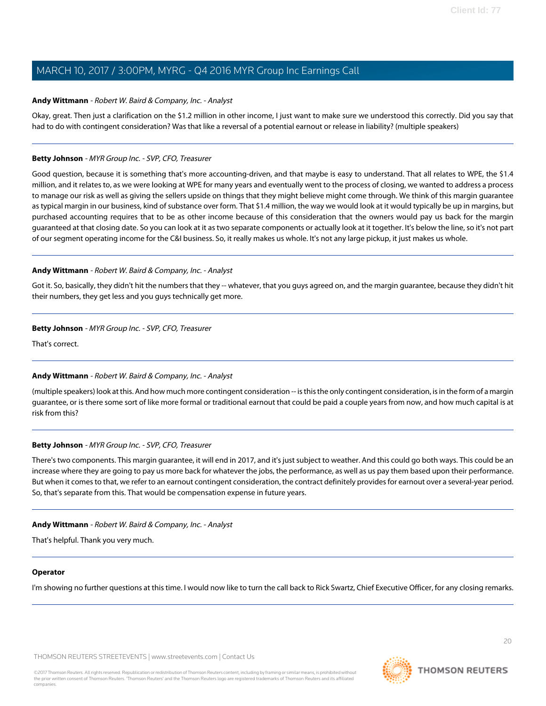#### **Andy Wittmann** - Robert W. Baird & Company, Inc. - Analyst

Okay, great. Then just a clarification on the \$1.2 million in other income, I just want to make sure we understood this correctly. Did you say that had to do with contingent consideration? Was that like a reversal of a potential earnout or release in liability? (multiple speakers)

### **Betty Johnson** - MYR Group Inc. - SVP, CFO, Treasurer

Good question, because it is something that's more accounting-driven, and that maybe is easy to understand. That all relates to WPE, the \$1.4 million, and it relates to, as we were looking at WPE for many years and eventually went to the process of closing, we wanted to address a process to manage our risk as well as giving the sellers upside on things that they might believe might come through. We think of this margin guarantee as typical margin in our business, kind of substance over form. That \$1.4 million, the way we would look at it would typically be up in margins, but purchased accounting requires that to be as other income because of this consideration that the owners would pay us back for the margin guaranteed at that closing date. So you can look at it as two separate components or actually look at it together. It's below the line, so it's not part of our segment operating income for the C&I business. So, it really makes us whole. It's not any large pickup, it just makes us whole.

### **Andy Wittmann** - Robert W. Baird & Company, Inc. - Analyst

Got it. So, basically, they didn't hit the numbers that they -- whatever, that you guys agreed on, and the margin guarantee, because they didn't hit their numbers, they get less and you guys technically get more.

### **Betty Johnson** - MYR Group Inc. - SVP, CFO, Treasurer

That's correct.

### **Andy Wittmann** - Robert W. Baird & Company, Inc. - Analyst

(multiple speakers) look at this. And how much more contingent consideration -- is this the only contingent consideration, is in the form of a margin guarantee, or is there some sort of like more formal or traditional earnout that could be paid a couple years from now, and how much capital is at risk from this?

#### **Betty Johnson** - MYR Group Inc. - SVP, CFO, Treasurer

There's two components. This margin guarantee, it will end in 2017, and it's just subject to weather. And this could go both ways. This could be an increase where they are going to pay us more back for whatever the jobs, the performance, as well as us pay them based upon their performance. But when it comes to that, we refer to an earnout contingent consideration, the contract definitely provides for earnout over a several-year period. So, that's separate from this. That would be compensation expense in future years.

#### **Andy Wittmann** - Robert W. Baird & Company, Inc. - Analyst

That's helpful. Thank you very much.

#### **Operator**

I'm showing no further questions at this time. I would now like to turn the call back to Rick Swartz, Chief Executive Officer, for any closing remarks.